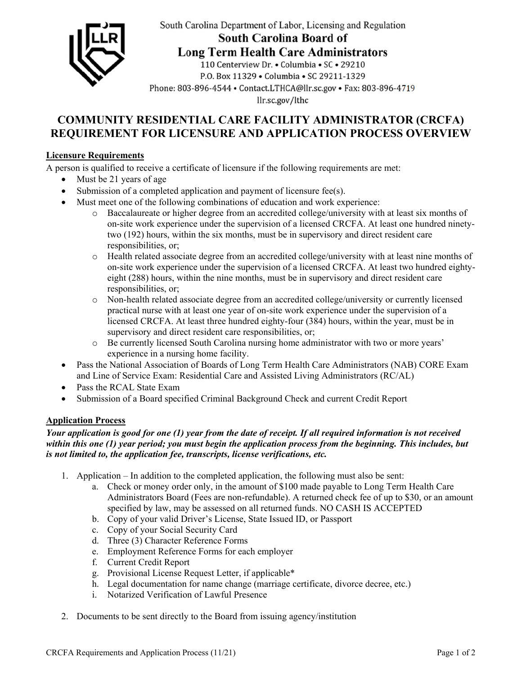

South Carolina Department of Labor, Licensing and Regulation

South Carolina Board of

**Long Term Health Care Administrators** 

110 Centerview Dr. • Columbia • SC • 29210 P.O. Box 11329 . Columbia . SC 29211-1329 Phone: 803-896-4544 • Contact.LTHCA@llr.sc.gov • Fax: 803-896-4719 llr.sc.gov/lthc

# **COMMUNITY RESIDENTIAL CARE FACILITY ADMINISTRATOR (CRCFA) REQUIREMENT FOR LICENSURE AND APPLICATION PROCESS OVERVIEW**

### **Licensure Requirements**

A person is qualified to receive a certificate of licensure if the following requirements are met:

- Must be 21 years of age
- Submission of a completed application and payment of licensure fee(s).
- Must meet one of the following combinations of education and work experience:
	- o Baccalaureate or higher degree from an accredited college/university with at least six months of on-site work experience under the supervision of a licensed CRCFA. At least one hundred ninetytwo (192) hours, within the six months, must be in supervisory and direct resident care responsibilities, or;
	- o Health related associate degree from an accredited college/university with at least nine months of on-site work experience under the supervision of a licensed CRCFA. At least two hundred eightyeight (288) hours, within the nine months, must be in supervisory and direct resident care responsibilities, or;
	- o Non-health related associate degree from an accredited college/university or currently licensed practical nurse with at least one year of on-site work experience under the supervision of a licensed CRCFA. At least three hundred eighty-four (384) hours, within the year, must be in supervisory and direct resident care responsibilities, or;
	- o Be currently licensed South Carolina nursing home administrator with two or more years' experience in a nursing home facility.
- Pass the National Association of Boards of Long Term Health Care Administrators (NAB) CORE Exam and Line of Service Exam: Residential Care and Assisted Living Administrators (RC/AL)
- Pass the RCAL State Exam
- Submission of a Board specified Criminal Background Check and current Credit Report

## **Application Process**

#### *Your application is good for one (1) year from the date of receipt. If all required information is not received within this one (1) year period; you must begin the application process from the beginning. This includes, but is not limited to, the application fee, transcripts, license verifications, etc.*

- 1. Application In addition to the completed application, the following must also be sent:
	- a. Check or money order only, in the amount of \$100 made payable to Long Term Health Care Administrators Board (Fees are non-refundable). A returned check fee of up to \$30, or an amount specified by law, may be assessed on all returned funds. NO CASH IS ACCEPTED
	- b. Copy of your valid Driver's License, State Issued ID, or Passport
	- c. Copy of your Social Security Card
	- d. Three (3) Character Reference Forms
	- e. Employment Reference Forms for each employer
	- f. Current Credit Report
	- g. Provisional License Request Letter, if applicable\*
	- h. Legal documentation for name change (marriage certificate, divorce decree, etc.)
	- i. Notarized Verification of Lawful Presence
- 2. Documents to be sent directly to the Board from issuing agency/institution